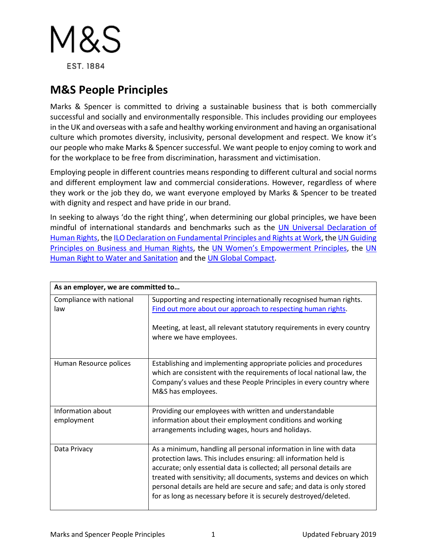

## **M&S People Principles**

Marks & Spencer is committed to driving a sustainable business that is both commercially successful and socially and environmentally responsible. This includes providing our employees in the UK and overseas with a safe and healthy working environment and having an organisational culture which promotes diversity, inclusivity, personal development and respect. We know it's our people who make Marks & Spencer successful. We want people to enjoy coming to work and for the workplace to be free from discrimination, harassment and victimisation.

Employing people in different countries means responding to different cultural and social norms and different employment law and commercial considerations. However, regardless of where they work or the job they do, we want everyone employed by Marks & Spencer to be treated with dignity and respect and have pride in our brand.

In seeking to always 'do the right thing', when determining our global principles, we have been mindful of international standards and benchmarks such as the [UN Universal Declaration of](http://www.un.org/en/universal-declaration-human-rights/)  [Human Rights,](http://www.un.org/en/universal-declaration-human-rights/) th[e ILO Declaration on Fundamental Principles and Rights at Work,](http://www.ilo.org/declaration/lang--en/index.htm) the [UN Guiding](https://corporate.marksandspencer.com/documents/plan-a-our-approach/guiding-principles-business.pdf)  [Principles on Business and Human Rights,](https://corporate.marksandspencer.com/documents/plan-a-our-approach/guiding-principles-business.pdf) the [UN Women's Empowerment Principles,](https://www.empowerwomen.org/en/weps/about) the [UN](http://www.un.org/waterforlifedecade/human_right_to_water.shtml)  [Human Right to Water and Sanitation](http://www.un.org/waterforlifedecade/human_right_to_water.shtml) and the [UN Global Compact.](https://www.unglobalcompact.org/what-is-gc/mission/principles)

| As an employer, we are committed to |                                                                                                                                                                                                                                                                                                                                                                                                                                       |  |
|-------------------------------------|---------------------------------------------------------------------------------------------------------------------------------------------------------------------------------------------------------------------------------------------------------------------------------------------------------------------------------------------------------------------------------------------------------------------------------------|--|
| Compliance with national<br>law     | Supporting and respecting internationally recognised human rights.<br>Find out more about our approach to respecting human rights.<br>Meeting, at least, all relevant statutory requirements in every country<br>where we have employees.                                                                                                                                                                                             |  |
| Human Resource polices              | Establishing and implementing appropriate policies and procedures<br>which are consistent with the requirements of local national law, the<br>Company's values and these People Principles in every country where<br>M&S has employees.                                                                                                                                                                                               |  |
| Information about<br>employment     | Providing our employees with written and understandable<br>information about their employment conditions and working<br>arrangements including wages, hours and holidays.                                                                                                                                                                                                                                                             |  |
| Data Privacy                        | As a minimum, handling all personal information in line with data<br>protection laws. This includes ensuring: all information held is<br>accurate; only essential data is collected; all personal details are<br>treated with sensitivity; all documents, systems and devices on which<br>personal details are held are secure and safe; and data is only stored<br>for as long as necessary before it is securely destroyed/deleted. |  |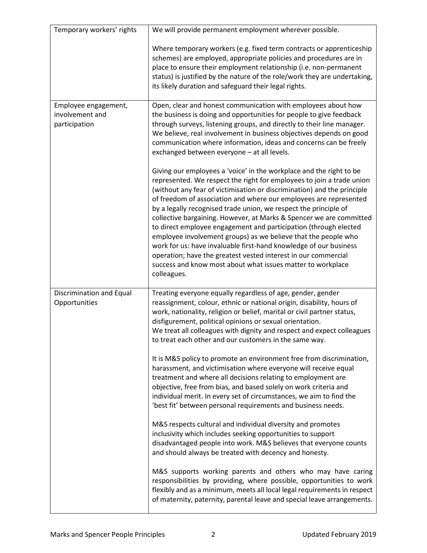| Temporary workers' rights                                | We will provide permanent employment wherever possible.                                                                                                                                                                                                                                                                                                                                                                                                                                                                                                                                                                                                                                                                                                                                            |
|----------------------------------------------------------|----------------------------------------------------------------------------------------------------------------------------------------------------------------------------------------------------------------------------------------------------------------------------------------------------------------------------------------------------------------------------------------------------------------------------------------------------------------------------------------------------------------------------------------------------------------------------------------------------------------------------------------------------------------------------------------------------------------------------------------------------------------------------------------------------|
|                                                          | Where temporary workers (e.g. fixed term contracts or apprenticeship<br>schemes) are employed, appropriate policies and procedures are in<br>place to ensure their employment relationship (i.e. non-permanent<br>status) is justified by the nature of the role/work they are undertaking,<br>its likely duration and safeguard their legal rights.                                                                                                                                                                                                                                                                                                                                                                                                                                               |
| Employee engagement,<br>involvement and<br>participation | Open, clear and honest communication with employees about how<br>the business is doing and opportunities for people to give feedback<br>through surveys, listening groups, and directly to their line manager.<br>We believe, real involvement in business objectives depends on good<br>communication where information, ideas and concerns can be freely<br>exchanged between everyone - at all levels.                                                                                                                                                                                                                                                                                                                                                                                          |
|                                                          | Giving our employees a 'voice' in the workplace and the right to be<br>represented. We respect the right for employees to join a trade union<br>(without any fear of victimisation or discrimination) and the principle<br>of freedom of association and where our employees are represented<br>by a legally recognised trade union, we respect the principle of<br>collective bargaining. However, at Marks & Spencer we are committed<br>to direct employee engagement and participation (through elected<br>employee involvement groups) as we believe that the people who<br>work for us: have invaluable first-hand knowledge of our business<br>operation; have the greatest vested interest in our commercial<br>success and know most about what issues matter to workplace<br>colleagues. |
| Discrimination and Equal<br>Opportunities                | Treating everyone equally regardless of age, gender, gender<br>reassignment, colour, ethnic or national origin, disability, hours of<br>work, nationality, religion or belief, marital or civil partner status,<br>disfigurement, political opinions or sexual orientation.<br>We treat all colleagues with dignity and respect and expect colleagues<br>to treat each other and our customers in the same way.                                                                                                                                                                                                                                                                                                                                                                                    |
|                                                          | It is M&S policy to promote an environment free from discrimination,<br>harassment, and victimisation where everyone will receive equal<br>treatment and where all decisions relating to employment are<br>objective, free from bias, and based solely on work criteria and<br>individual merit. In every set of circumstances, we aim to find the<br>'best fit' between personal requirements and business needs.                                                                                                                                                                                                                                                                                                                                                                                 |
|                                                          | M&S respects cultural and individual diversity and promotes<br>inclusivity which includes seeking opportunities to support<br>disadvantaged people into work. M&S believes that everyone counts<br>and should always be treated with decency and honesty.                                                                                                                                                                                                                                                                                                                                                                                                                                                                                                                                          |
|                                                          | M&S supports working parents and others who may have caring<br>responsibilities by providing, where possible, opportunities to work<br>flexibly and as a minimum, meets all local legal requirements in respect<br>of maternity, paternity, parental leave and special leave arrangements.                                                                                                                                                                                                                                                                                                                                                                                                                                                                                                         |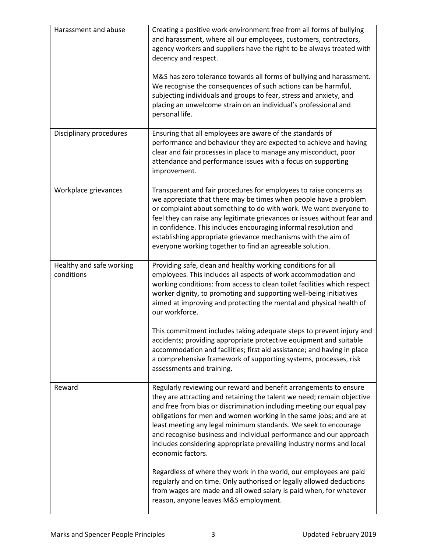| Harassment and abuse                   | Creating a positive work environment free from all forms of bullying<br>and harassment, where all our employees, customers, contractors,<br>agency workers and suppliers have the right to be always treated with<br>decency and respect.<br>M&S has zero tolerance towards all forms of bullying and harassment.                                                                                                                                                                                                               |
|----------------------------------------|---------------------------------------------------------------------------------------------------------------------------------------------------------------------------------------------------------------------------------------------------------------------------------------------------------------------------------------------------------------------------------------------------------------------------------------------------------------------------------------------------------------------------------|
|                                        | We recognise the consequences of such actions can be harmful,<br>subjecting individuals and groups to fear, stress and anxiety, and<br>placing an unwelcome strain on an individual's professional and<br>personal life.                                                                                                                                                                                                                                                                                                        |
| Disciplinary procedures                | Ensuring that all employees are aware of the standards of<br>performance and behaviour they are expected to achieve and having<br>clear and fair processes in place to manage any misconduct, poor<br>attendance and performance issues with a focus on supporting<br>improvement.                                                                                                                                                                                                                                              |
| Workplace grievances                   | Transparent and fair procedures for employees to raise concerns as<br>we appreciate that there may be times when people have a problem<br>or complaint about something to do with work. We want everyone to<br>feel they can raise any legitimate grievances or issues without fear and<br>in confidence. This includes encouraging informal resolution and<br>establishing appropriate grievance mechanisms with the aim of<br>everyone working together to find an agreeable solution.                                        |
| Healthy and safe working<br>conditions | Providing safe, clean and healthy working conditions for all<br>employees. This includes all aspects of work accommodation and<br>working conditions: from access to clean toilet facilities which respect<br>worker dignity, to promoting and supporting well-being initiatives<br>aimed at improving and protecting the mental and physical health of<br>our workforce.                                                                                                                                                       |
|                                        | This commitment includes taking adequate steps to prevent injury and<br>accidents; providing appropriate protective equipment and suitable<br>accommodation and facilities; first aid assistance; and having in place<br>a comprehensive framework of supporting systems, processes, risk<br>assessments and training.                                                                                                                                                                                                          |
| Reward                                 | Regularly reviewing our reward and benefit arrangements to ensure<br>they are attracting and retaining the talent we need; remain objective<br>and free from bias or discrimination including meeting our equal pay<br>obligations for men and women working in the same jobs; and are at<br>least meeting any legal minimum standards. We seek to encourage<br>and recognise business and individual performance and our approach<br>includes considering appropriate prevailing industry norms and local<br>economic factors. |
|                                        | Regardless of where they work in the world, our employees are paid<br>regularly and on time. Only authorised or legally allowed deductions<br>from wages are made and all owed salary is paid when, for whatever<br>reason, anyone leaves M&S employment.                                                                                                                                                                                                                                                                       |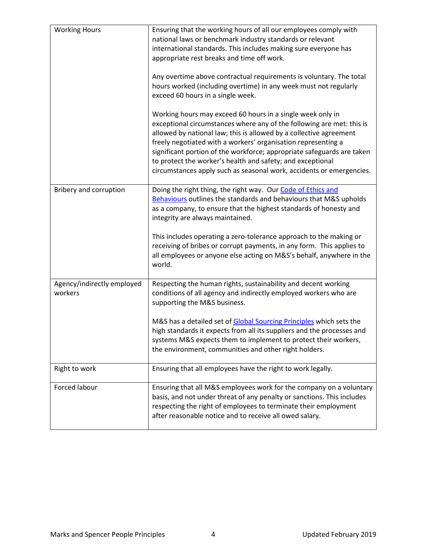| <b>Working Hours</b>                  | Ensuring that the working hours of all our employees comply with<br>national laws or benchmark industry standards or relevant<br>international standards. This includes making sure everyone has<br>appropriate rest breaks and time off work.                                                                                                                                                                                                                                             |
|---------------------------------------|--------------------------------------------------------------------------------------------------------------------------------------------------------------------------------------------------------------------------------------------------------------------------------------------------------------------------------------------------------------------------------------------------------------------------------------------------------------------------------------------|
|                                       | Any overtime above contractual requirements is voluntary. The total<br>hours worked (including overtime) in any week must not regularly<br>exceed 60 hours in a single week.                                                                                                                                                                                                                                                                                                               |
|                                       | Working hours may exceed 60 hours in a single week only in<br>exceptional circumstances where any of the following are met: this is<br>allowed by national law; this is allowed by a collective agreement<br>freely negotiated with a workers' organisation representing a<br>significant portion of the workforce; appropriate safeguards are taken<br>to protect the worker's health and safety; and exceptional<br>circumstances apply such as seasonal work, accidents or emergencies. |
| Bribery and corruption                | Doing the right thing, the right way. Our Code of Ethics and<br>Behaviours outlines the standards and behaviours that M&S upholds<br>as a company, to ensure that the highest standards of honesty and<br>integrity are always maintained.                                                                                                                                                                                                                                                 |
|                                       | This includes operating a zero-tolerance approach to the making or<br>receiving of bribes or corrupt payments, in any form. This applies to<br>all employees or anyone else acting on M&S's behalf, anywhere in the<br>world.                                                                                                                                                                                                                                                              |
| Agency/indirectly employed<br>workers | Respecting the human rights, sustainability and decent working<br>conditions of all agency and indirectly employed workers who are<br>supporting the M&S business.                                                                                                                                                                                                                                                                                                                         |
|                                       | M&S has a detailed set of Global Sourcing Principles which sets the<br>high standards it expects from all its suppliers and the processes and<br>systems M&S expects them to implement to protect their workers,<br>the environment, communities and other right holders.                                                                                                                                                                                                                  |
| Right to work                         | Ensuring that all employees have the right to work legally.                                                                                                                                                                                                                                                                                                                                                                                                                                |
| Forced labour                         | Ensuring that all M&S employees work for the company on a voluntary<br>basis, and not under threat of any penalty or sanctions. This includes<br>respecting the right of employees to terminate their employment<br>after reasonable notice and to receive all owed salary.                                                                                                                                                                                                                |